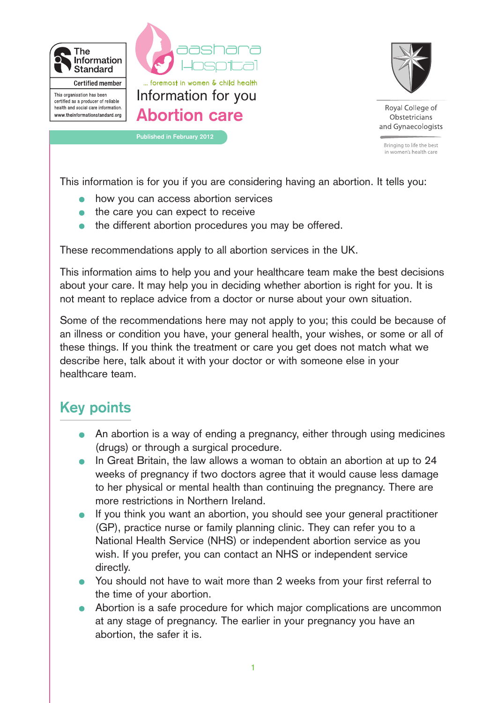



Roval College of Obstetricians and Gynaecologists

Bringing to life the best in women's health care

This information is for you if you are considering having an abortion. It tells you:

- how you can access abortion services
- the care you can expect to receive
- the different abortion procedures you may be offered.

These recommendations apply to all abortion services in the UK.

This information aims to help you and your healthcare team make the best decisions about your care. It may help you in deciding whether abortion is right for you. It is not meant to replace advice from a doctor or nurse about your own situation.

Some of the recommendations here may not apply to you; this could be because of an illness or condition you have, your general health, your wishes, or some or all of these things. If you think the treatment or care you get does not match what we describe here, talk about it with your doctor or with someone else in your healthcare team.

# **Key points**

- An abortion is a way of ending a pregnancy, either through using medicines (drugs) or through a surgical procedure.
- In Great Britain, the law allows a woman to obtain an abortion at up to 24 weeks of pregnancy if two doctors agree that it would cause less damage to her physical or mental health than continuing the pregnancy. There are more restrictions in Northern Ireland.
- If you think you want an abortion, you should see your general practitioner (GP), practice nurse or family planning clinic. They can refer you to a National Health Service (NHS) or independent abortion service as you wish. If you prefer, you can contact an NHS or independent service directly.
- You should not have to wait more than 2 weeks from your first referral to the time of your abortion.
- Abortion is a safe procedure for which major complications are uncommon at any stage of pregnancy. The earlier in your pregnancy you have an abortion, the safer it is.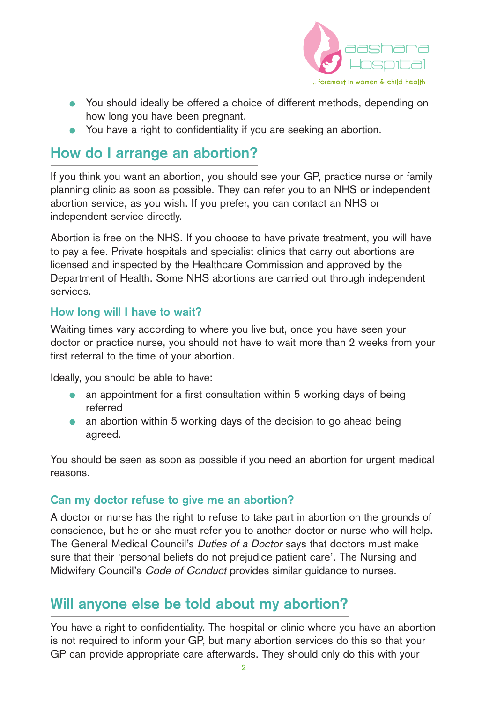

- You should ideally be offered a choice of different methods, depending on how long you have been pregnant.
- You have a right to confidentiality if you are seeking an abortion.

## **How do I arrange an abortion?**

If you think you want an abortion, you should see your GP, practice nurse or family planning clinic as soon as possible. They can refer you to an NHS or independent abortion service, as you wish. If you prefer, you can contact an NHS or independent service directly.

Abortion is free on the NHS. If you choose to have private treatment, you will have to pay a fee. Private hospitals and specialist clinics that carry out abortions are licensed and inspected by the Healthcare Commission and approved by the Department of Health. Some NHS abortions are carried out through independent services.

### **How long will I have to wait?**

Waiting times vary according to where you live but, once you have seen your doctor or practice nurse, you should not have to wait more than 2 weeks from your first referral to the time of your abortion.

Ideally, you should be able to have:

- an appointment for a first consultation within 5 working days of being  $\bullet$ referred
- an abortion within 5 working days of the decision to go ahead being agreed.

You should be seen as soon as possible if you need an abortion for urgent medical reasons.

### **Can my doctor refuse to give me an abortion?**

A doctor or nurse has the right to refuse to take part in abortion on the grounds of conscience, but he or she must refer you to another doctor or nurse who will help. The General Medical Council's Duties of a Doctor says that doctors must make sure that their 'personal beliefs do not prejudice patient care'. The Nursing and Midwifery Council's Code of Conduct provides similar guidance to nurses.

## **Will anyone else be told about my abortion?**

You have a right to confidentiality. The hospital or clinic where you have an abortion is not required to inform your GP, but many abortion services do this so that your GP can provide appropriate care afterwards. They should only do this with your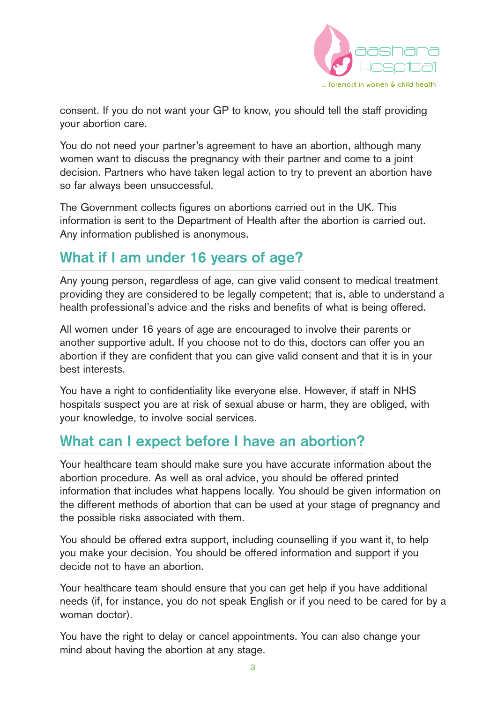

consent. If you do not want your GP to know, you should tell the staff providing your abortion care.

You do not need your partner's agreement to have an abortion, although many women want to discuss the pregnancy with their partner and come to a joint decision. Partners who have taken legal action to try to prevent an abortion have so far always been unsuccessful.

The Government collects figures on abortions carried out in the UK. This information is sent to the Department of Health after the abortion is carried out. Any information published is anonymous.

### **What if I am under 16 years of age?**

Any young person, regardless of age, can give valid consent to medical treatment providing they are considered to be legally competent; that is, able to understand a health professional's advice and the risks and benefits of what is being offered.

All women under 16 years of age are encouraged to involve their parents or another supportive adult. If you choose not to do this, doctors can offer you an abortion if they are confident that you can give valid consent and that it is in your best interests.

You have a right to confidentiality like everyone else. However, if staff in NHS hospitals suspect you are at risk of sexual abuse or harm, they are obliged, with your knowledge, to involve social services.

## **What can I expect before I have an abortion?**

Your healthcare team should make sure you have accurate information about the abortion procedure. As well as oral advice, you should be offered printed information that includes what happens locally. You should be given information on the different methods of abortion that can be used at your stage of pregnancy and the possible risks associated with them.

You should be offered extra support, including counselling if you want it, to help you make your decision. You should be offered information and support if you decide not to have an abortion.

Your healthcare team should ensure that you can get help if you have additional needs (if, for instance, you do not speak English or if you need to be cared for by a woman doctor).

You have the right to delay or cancel appointments. You can also change your mind about having the abortion at any stage.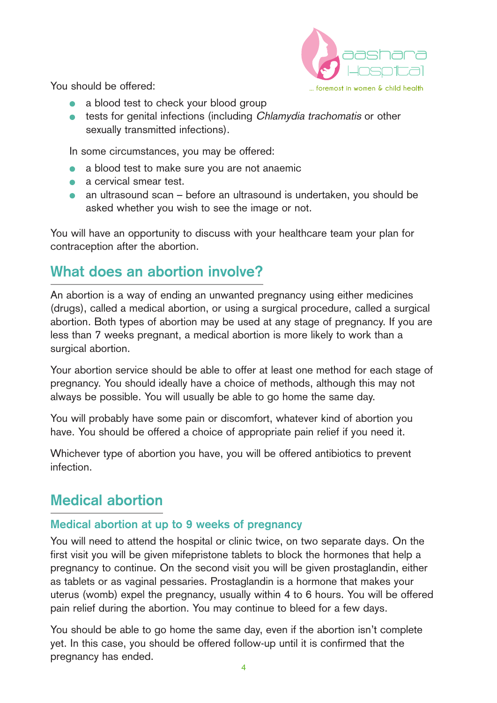

You should be offered:

- a blood test to check your blood group
- **•** tests for genital infections (including *Chlamydia trachomatis* or other sexually transmitted infections).

In some circumstances, you may be offered:

- a blood test to make sure you are not anaemic
- a cervical smear test.
- an ultrasound scan before an ultrasound is undertaken, you should be asked whether you wish to see the image or not.

You will have an opportunity to discuss with your healthcare team your plan for contraception after the abortion.

# **What does an abortion involve?**

An abortion is a way of ending an unwanted pregnancy using either medicines (drugs), called a medical abortion, or using a surgical procedure, called a surgical abortion. Both types of abortion may be used at any stage of pregnancy. If you are less than 7 weeks pregnant, a medical abortion is more likely to work than a surgical abortion.

Your abortion service should be able to offer at least one method for each stage of pregnancy. You should ideally have a choice of methods, although this may not always be possible. You will usually be able to go home the same day.

You will probably have some pain or discomfort, whatever kind of abortion you have. You should be offered a choice of appropriate pain relief if you need it.

Whichever type of abortion you have, you will be offered antibiotics to prevent infection.

## **Medical abortion**

### **Medical abortion at up to 9 weeks of pregnancy**

You will need to attend the hospital or clinic twice, on two separate days. On the first visit you will be given mifepristone tablets to block the hormones that help a pregnancy to continue. On the second visit you will be given prostaglandin, either as tablets or as vaginal pessaries. Prostaglandin is a hormone that makes your uterus (womb) expel the pregnancy, usually within 4 to 6 hours. You will be offered pain relief during the abortion. You may continue to bleed for a few days.

You should be able to go home the same day, even if the abortion isn't complete yet. In this case, you should be offered follow-up until it is confirmed that the pregnancy has ended.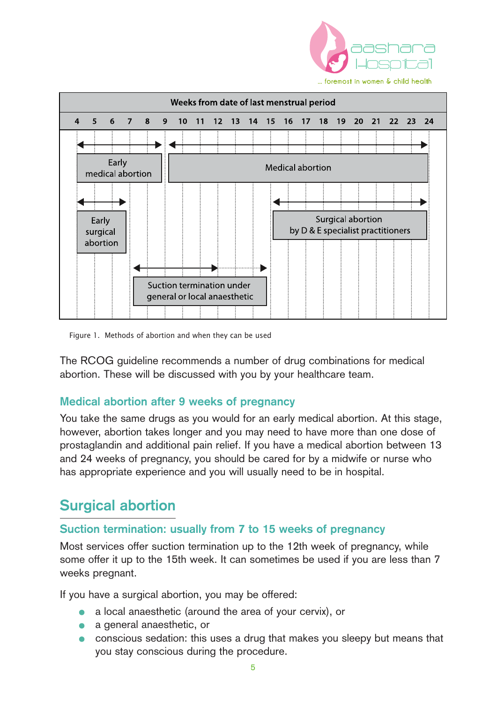



Figure 1. Methods of abortion and when they can be used

The RCOG guideline recommends a number of drug combinations for medical abortion. These will be discussed with you by your healthcare team.

#### **Medical abortion after 9 weeks of pregnancy**

You take the same drugs as you would for an early medical abortion. At this stage, however, abortion takes longer and you may need to have more than one dose of prostaglandin and additional pain relief. If you have a medical abortion between 13 and 24 weeks of pregnancy, you should be cared for by a midwife or nurse who has appropriate experience and you will usually need to be in hospital.

### **Surgical abortion**

#### **Suction termination: usually from 7 to 15 weeks of pregnancy**

Most services offer suction termination up to the 12th week of pregnancy, while some offer it up to the 15th week. It can sometimes be used if you are less than 7 weeks pregnant.

If you have a surgical abortion, you may be offered:

- a local anaesthetic (around the area of your cervix), or
- a general anaesthetic, or
- conscious sedation: this uses a drug that makes you sleepy but means that you stay conscious during the procedure.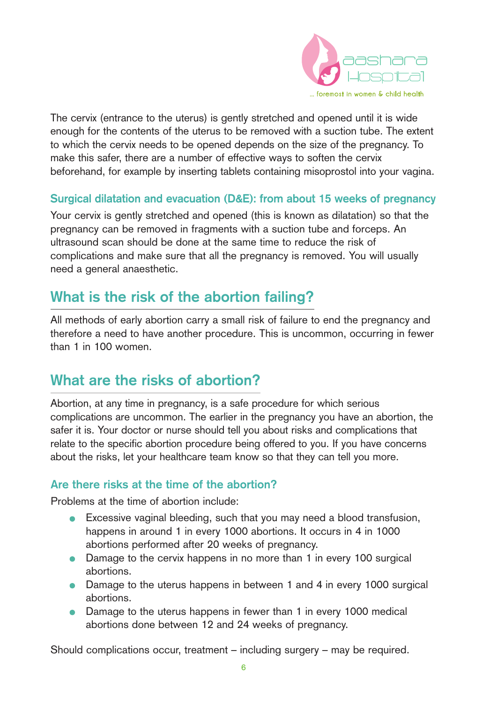

The cervix (entrance to the uterus) is gently stretched and opened until it is wide enough for the contents of the uterus to be removed with a suction tube. The extent to which the cervix needs to be opened depends on the size of the pregnancy. To make this safer, there are a number of effective ways to soften the cervix beforehand, for example by inserting tablets containing misoprostol into your vagina.

#### **Surgical dilatation and evacuation (D&E): from about 15 weeks of pregnancy**

Your cervix is gently stretched and opened (this is known as dilatation) so that the pregnancy can be removed in fragments with a suction tube and forceps. An ultrasound scan should be done at the same time to reduce the risk of complications and make sure that all the pregnancy is removed. You will usually need a general anaesthetic.

### **What is the risk of the abortion failing?**

All methods of early abortion carry a small risk of failure to end the pregnancy and therefore a need to have another procedure. This is uncommon, occurring in fewer than 1 in 100 women.

## **What are the risks of abortion?**

Abortion, at any time in pregnancy, is a safe procedure for which serious complications are uncommon. The earlier in the pregnancy you have an abortion, the safer it is. Your doctor or nurse should tell you about risks and complications that relate to the specific abortion procedure being offered to you. If you have concerns about the risks, let your healthcare team know so that they can tell you more.

### **Are there risks at the time of the abortion?**

Problems at the time of abortion include:

- **Excessive vaginal bleeding, such that you may need a blood transfusion,** happens in around 1 in every 1000 abortions. It occurs in 4 in 1000 abortions performed after 20 weeks of pregnancy.
- Damage to the cervix happens in no more than 1 in every 100 surgical abortions.
- Damage to the uterus happens in between 1 and 4 in every 1000 surgical abortions.
- Damage to the uterus happens in fewer than 1 in every 1000 medical abortions done between 12 and 24 weeks of pregnancy.

Should complications occur, treatment – including surgery – may be required.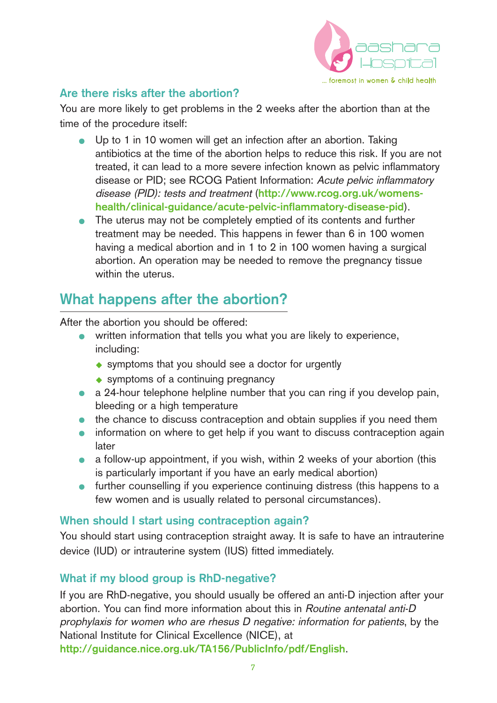

### **Are there risks after the abortion?**

You are more likely to get problems in the 2 weeks after the abortion than at the time of the procedure itself:

- Up to 1 in 10 women will get an infection after an abortion. Taking antibiotics at the time of the abortion helps to reduce this risk. If you are not treated, it can lead to a more severe infection known as pelvic inflammatory disease or PID; see RCOG Patient Information: Acute pelvic inflammatory disease (PID): tests and treatment (**http://www.rcog.org.uk/womenshealth/clinical-guidance/acute-pelvic-inflammatory-disease-pid**).
- The uterus may not be completely emptied of its contents and further treatment may be needed. This happens in fewer than 6 in 100 women having a medical abortion and in 1 to 2 in 100 women having a surgical abortion. An operation may be needed to remove the pregnancy tissue within the uterus.

### **What happens after the abortion?**

After the abortion you should be offered:

- written information that tells you what you are likely to experience, including:
	- $\leftrightarrow$  symptoms that you should see a doctor for urgently
	- $\bullet$  symptoms of a continuing pregnancy
- a 24-hour telephone helpline number that you can ring if you develop pain, bleeding or a high temperature
- the chance to discuss contraception and obtain supplies if you need them
- information on where to get help if you want to discuss contraception again later
- a follow-up appointment, if you wish, within 2 weeks of your abortion (this is particularly important if you have an early medical abortion)
- **•** further counselling if you experience continuing distress (this happens to a few women and is usually related to personal circumstances).

### **When should I start using contraception again?**

You should start using contraception straight away. It is safe to have an intrauterine device (IUD) or intrauterine system (IUS) fitted immediately.

### **What if my blood group is RhD-negative?**

If you are RhD-negative, you should usually be offered an anti-D injection after your abortion. You can find more information about this in Routine antenatal anti-D prophylaxis for women who are rhesus D negative: information for patients, by the National Institute for Clinical Excellence (NICE), at **http://guidance.nice.org.uk/TA156/PublicInfo/pdf/English**.